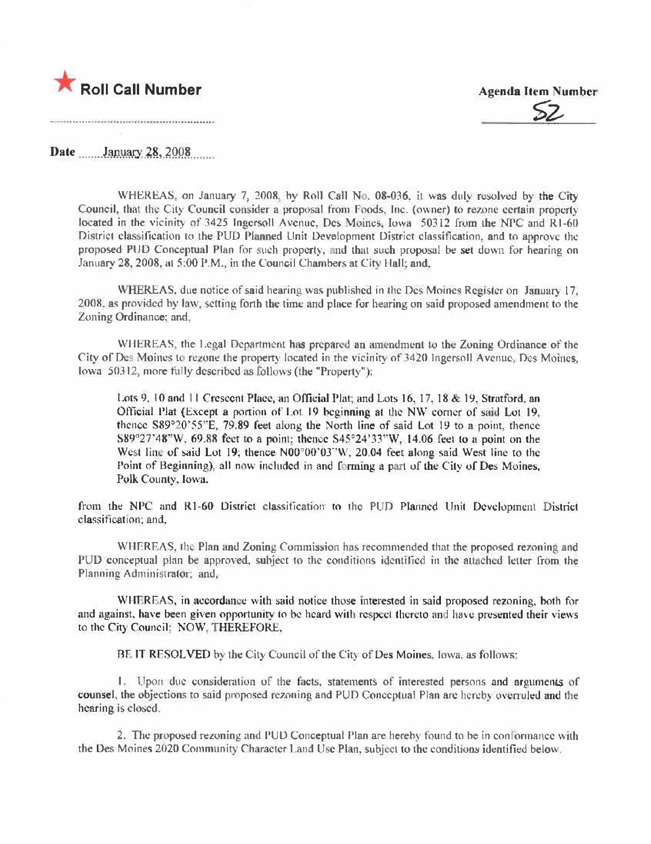

**Agenda Item Number** 

Date January 28, 2008

WHEREAS, on January 7, 2008, by Roll Call No. 08-036, it was duly resolved by the City Council, that the City Council consider a proposal from Foods. Inc. (owner) to rezone certain property located in the vicinity of 3425 Ingersoll Avenue, Des Moines, Iowa 50312 from the NPC and R1-60 District classification to the PUD Planned Unit Development District classification, and to approve the proposed PUD Conceptual Plan for such property, and that such proposal be set down for hearing on January 28, 2008, at 5:00 P.M., in the Council Chambers at City Hall; and,

WHEREAS, due notice of said hearing was published in the Des Moines Register on January 17, 2008, as provided by law, setting forth the time and place for hearing on said proposed amendment to the Zoning Ordinance: and.

WHEREAS, the Legal Department has prepared an amendment to the Zoning Ordinance of the City of Des Moines to rezone the property located in the vicinity of 3420 Ingersoll Avenue, Des Moines, lowa 50312, more fully described as follows (the "Property"):

Lots 9, 10 and 11 Crescent Place, an Official Plat; and Lots 16, 17, 18 & 19, Stratford, an Official Plat (Except a portion of Lot 19 beginning at the NW corner of said Lot 19. thence S89°20'55"E, 79.89 feet along the North line of said Lot 19 to a point, thence S89°27'48"W, 69.88 feet to a point; thence S45°24'33"W, 14.06 feet to a point on the West line of said Lot 19; thence N00°00'03"W, 20.04 feet along said West line to the Point of Beginning), all now included in and forming a part of the City of Des Moines, Polk County, Iowa.

from the NPC and R1-60 District classification to the PUD Planned Unit Development District classification; and,

WHEREAS, the Plan and Zoning Commission has recommended that the proposed rezoning and PUD conceptual plan be approved, subject to the conditions identified in the attached letter from the Planning Administrator: and,

WHEREAS, in accordance with said notice those interested in said proposed rezoning, both for and against, have been given opportunity to be heard with respect thereto and have presented their views to the City Council: NOW, THEREFORE,

BE IT RESOLVED by the City Council of the City of Des Moines, Iowa, as follows:

1. Upon due consideration of the facts, statements of interested persons and arguments of counsel, the objections to said proposed rezoning and PUD Conceptual Plan are hereby overruled and the hearing is closed.

2. The proposed rezoning and PUD Conceptual Plan are hereby found to be in conformance with the Des Moines 2020 Community Character Land Use Plan, subject to the conditions identified below.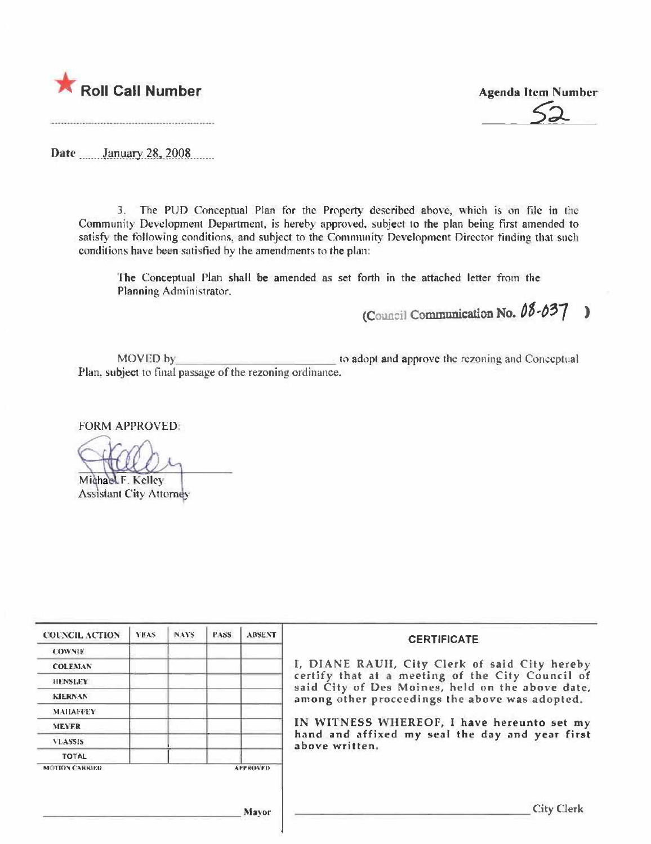

**Agenda Item Number** 

Date January 28, 2008

3. The PUD Conceptual Plan for the Property described above, which is on file in the Community Development Department, is hereby approved, subject to the plan being first amended to satisfy the following conditions, and subject to the Community Development Director finding that such conditions have been satisfied by the amendments to the plan:

The Conceptual Plan shall be amended as set forth in the attached letter from the Planning Administrator.

(Council Communication No. 08-037)

to adopt and approve the rezoning and Conceptual MOVED by Plan, subject to final passage of the rezoning ordinance.

**FORM APPROVED:** 

Michael F. Kelley **Assistant City Attorney** 

| <b>COUNCIL ACTION</b> | <b>YEAS</b> | <b>NAYS</b> | <b>PASS</b> | <b>ABSENT</b>   | <b>CERTIFICATE</b>                                                                                   |
|-----------------------|-------------|-------------|-------------|-----------------|------------------------------------------------------------------------------------------------------|
| <b>COWNIE</b>         |             |             |             |                 |                                                                                                      |
| <b>COLEMAN</b>        |             |             |             |                 | I, DIANE RAUH, City Clerk of said City hereby                                                        |
| <b>HENSLEY</b>        |             |             |             |                 | certify that at a meeting of the City Council of<br>said City of Des Moines, held on the above date, |
| <b>KIERNAN</b>        |             |             |             |                 | among other proceedings the above was adopted.                                                       |
| <b>MAILAFFEY</b>      |             |             |             |                 |                                                                                                      |
| <b>MEYER</b>          |             |             |             |                 | IN WITNESS WHEREOF, I have hereunto set my                                                           |
| <b>VLASSIS</b>        |             |             |             |                 | hand and affixed my seal the day and year first<br>above written.                                    |
| <b>TOTAL</b>          |             |             |             |                 |                                                                                                      |
| <b>MCTRON CARRIED</b> |             |             |             | <b>APPROVED</b> |                                                                                                      |
|                       |             |             |             | <b>Mayor</b>    | <b>City Clerk</b>                                                                                    |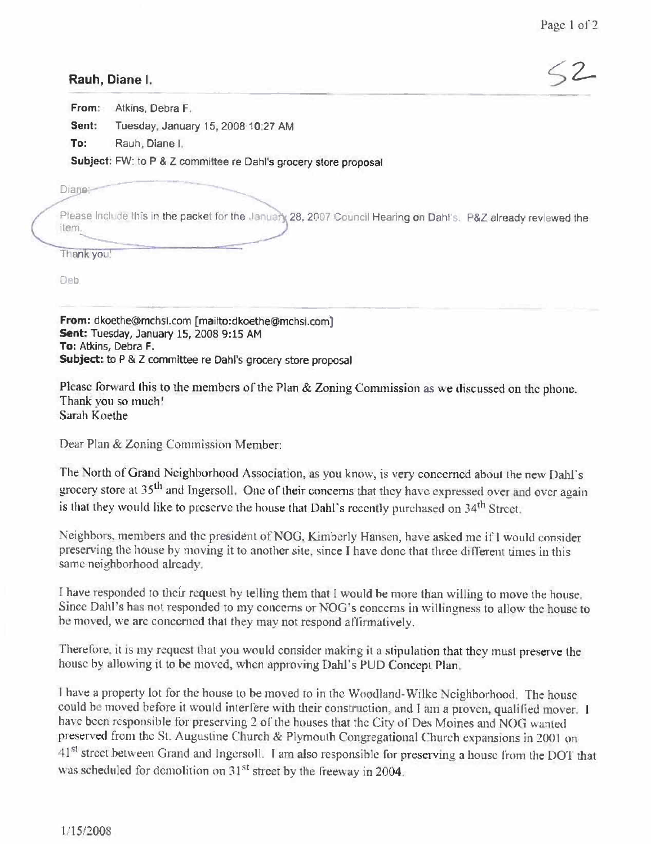## Rauh, Diane I.

 $52-$ 

From: Atkins, Debra F.

Sent: Tuesday, January 15, 2008 10:27 AM

To: Rauh, Diane I.

Subject: FW: to P & Z committee re Dahl's grocery store proposal

Diane:

Please include this in the packet for the January 28, 2007 Council Hearing on Dahl's. P&Z already reviewed the item.

Thank you!

Deb

From: dkoethe@mchsi.com [mailto:dkoethe@mchsi.com] Sent: Tuesday, January 15, 2008 9:15 AM To: Atkins, Debra F. Subject: to P & Z committee re Dahl's grocery store proposal

Please forward this to the members of the Plan & Zoning Commission as we discussed on the phone. Thank you so much! Sarah Koethe

Dear Plan & Zoning Commission Member:

The North of Grand Neighborhood Association, as you know, is very concerned about the new Dahl's grocery store at 35<sup>th</sup> and Ingersoll. One of their concerns that they have expressed over and over again is that they would like to preserve the house that Dahl's recently purchased on 34<sup>th</sup> Street.

Neighbors, members and the president of NOG, Kimberly Hansen, have asked me if I would consider preserving the house by moving it to another site, since I have done that three different times in this same neighborhood already.

I have responded to their request by telling them that I would be more than willing to move the house. Since Dahl's has not responded to my concerns or NOG's concerns in willingness to allow the house to be moved, we are concerned that they may not respond affirmatively.

Therefore, it is my request that you would consider making it a stipulation that they must preserve the house by allowing it to be moved, when approving Dahl's PUD Concept Plan.

I have a property lot for the house to be moved to in the Woodland-Wilke Neighborhood. The house could be moved before it would interfere with their construction, and I am a proven, qualified mover. I have been responsible for preserving 2 of the houses that the City of Des Moines and NOG wanted preserved from the St. Augustine Church & Plymouth Congregational Church expansions in 2001 on 41<sup>st</sup> street between Grand and Ingersoll. I am also responsible for preserving a house from the DOT that was scheduled for demolition on 31<sup>st</sup> street by the freeway in 2004.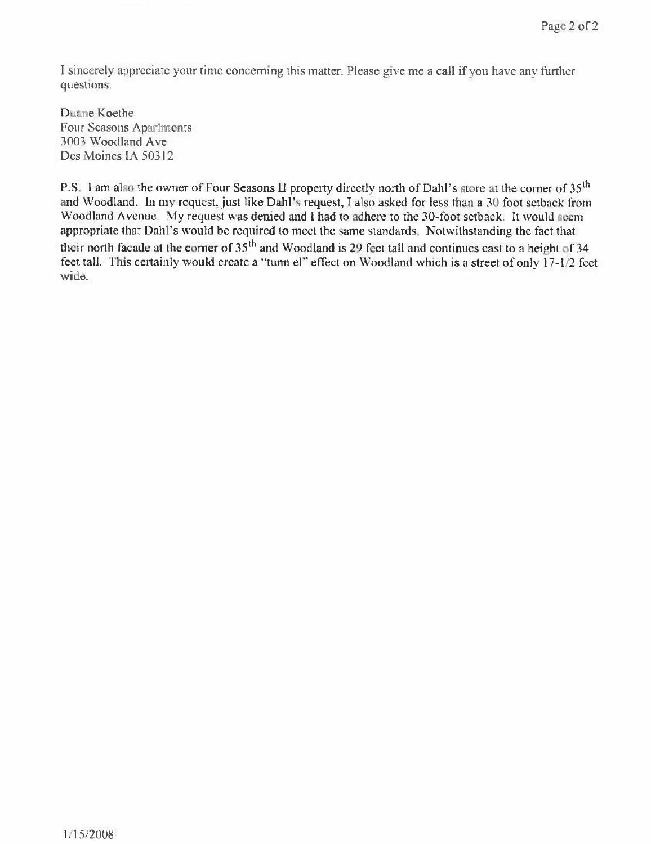I sincerely appreciate your time concerning this matter. Please give me a call if you have any further questions.

Duane Koethe Four Seasons Apartments 3003 Woodland Ave Des Moines IA 50312

P.S. 1 am also the owner of Four Seasons II property directly north of Dahl's store at the corner of 35<sup>th</sup> and Woodland. In my request, just like Dahl's request, I also asked for less than a 30 foot setback from Woodland Avenue. My request was denied and I had to adhere to the 30-foot setback. It would seem appropriate that Dahl's would be required to meet the same standards. Notwithstanding the fact that their north facade at the corner of 35<sup>th</sup> and Woodland is 29 feet tall and continues east to a height of 34 feet tall. This certainly would create a "turn el" effect on Woodland which is a street of only 17-1/2 feet wide.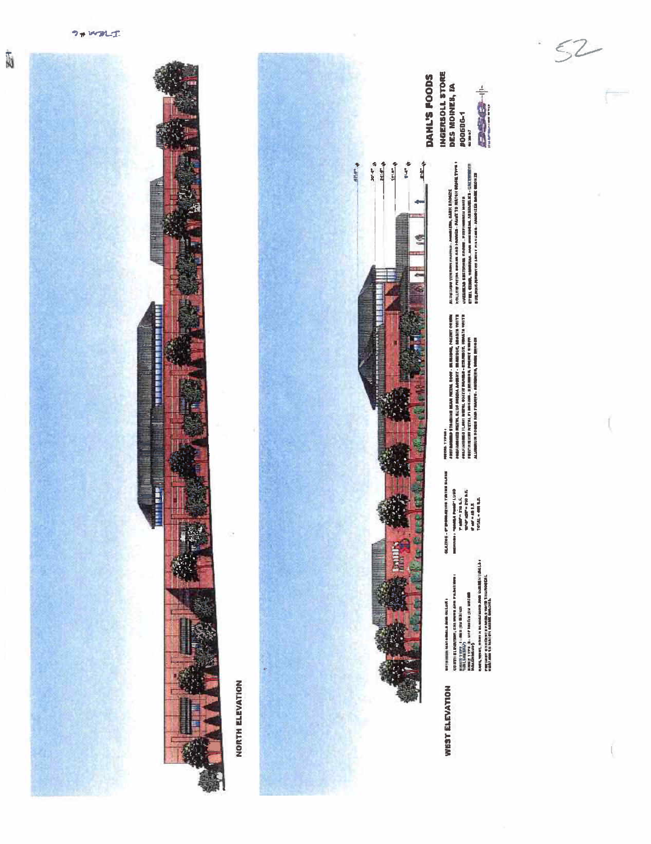Ñ

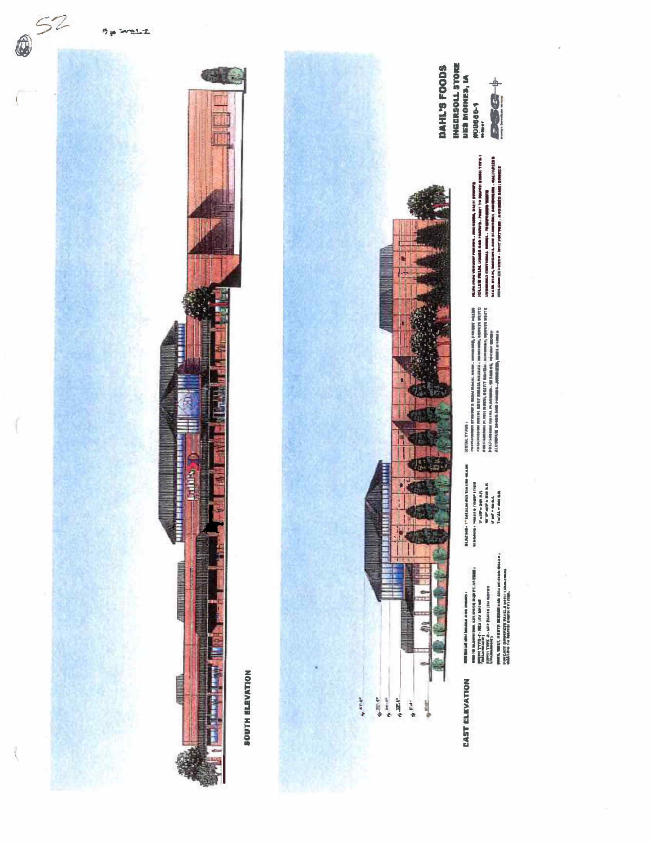

## **BOUTH BLEVATION**



## **EAST ELEVATION**

**ENTIROUS ANY SEASAN AND DIRECT-**

 $\begin{split} &\text{3.1-1.1} \\ &\text{4.1-1.1} \\ \text{5.1-1.1} \\ &\text{6.1-1.1} \\ \text{6.1-1.1} \\ &\text{7.1-1.1} \\ &\text{8.1-1.1} \\ &\text{9.1-1.1} \\ &\text{10.1-1.1} \\ &\text{11.1} \\ &\text{12.1} \\ &\text{13.1} \\ &\text{14.1} \\ &\text{15.1} \\ \text{16.1} \\ &\text{17.1} \\ \text{18.1} \\ &\text{19.1} \\ \text{19.1} \\ &\$ 

resortations of the following the pairs of a single  $\sim$  method of the system of the following constraints were as a single state of the system of the system of the system of the system of the system of the system of the **Alexander School ALLIVERUM DANNE** NUTRAL TYPER :

ang tanggunan yang mengerumakan di penunjungan di selain general di selain di penunjungan di selain di penunju<br>2007 - Kemandan di Senat Terbang di Senat di Penunjungan di Senat di Senat di Senat Terbang di Senat di Terba<br>

**INGERSOLL STORE**<br>NES MONES, IA #00680-1

 $1.6 - 1.7$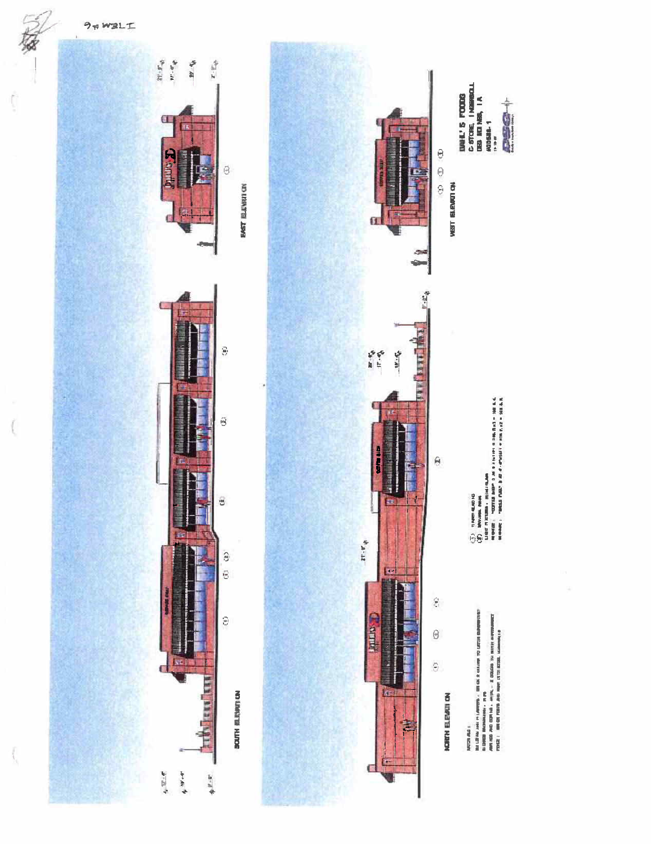